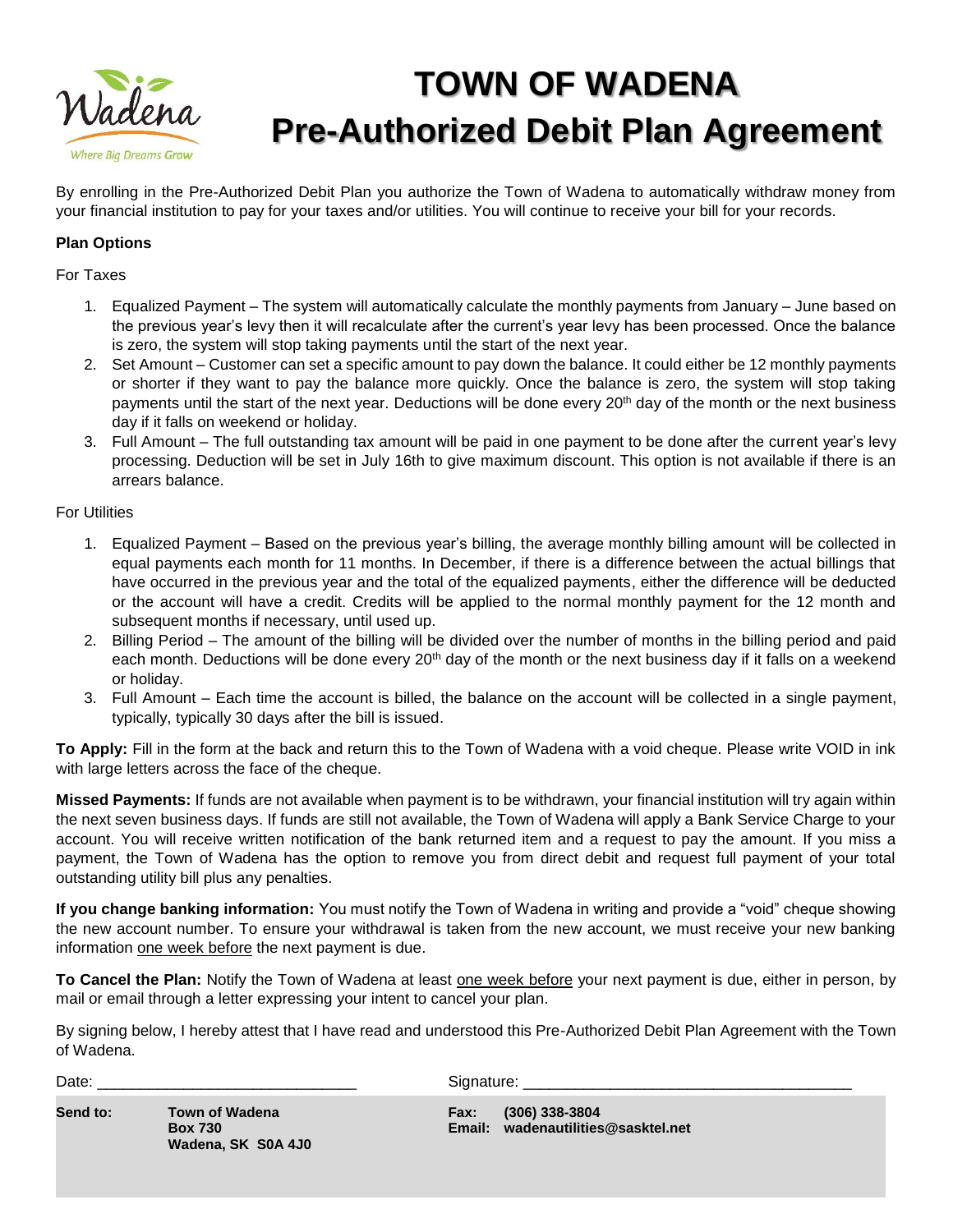

## **TOWN OF WADENA Pre-Authorized Debit Plan Agreement**

By enrolling in the Pre-Authorized Debit Plan you authorize the Town of Wadena to automatically withdraw money from your financial institution to pay for your taxes and/or utilities. You will continue to receive your bill for your records.

## **Plan Options**

For Taxes

- 1. Equalized Payment The system will automatically calculate the monthly payments from January June based on the previous year's levy then it will recalculate after the current's year levy has been processed. Once the balance is zero, the system will stop taking payments until the start of the next year.
- 2. Set Amount Customer can set a specific amount to pay down the balance. It could either be 12 monthly payments or shorter if they want to pay the balance more quickly. Once the balance is zero, the system will stop taking payments until the start of the next year. Deductions will be done every 20<sup>th</sup> day of the month or the next business day if it falls on weekend or holiday.
- 3. Full Amount The full outstanding tax amount will be paid in one payment to be done after the current year's levy processing. Deduction will be set in July 16th to give maximum discount. This option is not available if there is an arrears balance.

For Utilities

- 1. Equalized Payment Based on the previous year's billing, the average monthly billing amount will be collected in equal payments each month for 11 months. In December, if there is a difference between the actual billings that have occurred in the previous year and the total of the equalized payments, either the difference will be deducted or the account will have a credit. Credits will be applied to the normal monthly payment for the 12 month and subsequent months if necessary, until used up.
- 2. Billing Period The amount of the billing will be divided over the number of months in the billing period and paid each month. Deductions will be done every 20<sup>th</sup> day of the month or the next business day if it falls on a weekend or holiday.
- 3. Full Amount Each time the account is billed, the balance on the account will be collected in a single payment, typically, typically 30 days after the bill is issued.

**To Apply:** Fill in the form at the back and return this to the Town of Wadena with a void cheque. Please write VOID in ink with large letters across the face of the cheque.

**Missed Payments:** If funds are not available when payment is to be withdrawn, your financial institution will try again within the next seven business days. If funds are still not available, the Town of Wadena will apply a Bank Service Charge to your account. You will receive written notification of the bank returned item and a request to pay the amount. If you miss a payment, the Town of Wadena has the option to remove you from direct debit and request full payment of your total outstanding utility bill plus any penalties.

**If you change banking information:** You must notify the Town of Wadena in writing and provide a "void" cheque showing the new account number. To ensure your withdrawal is taken from the new account, we must receive your new banking information one week before the next payment is due.

**To Cancel the Plan:** Notify the Town of Wadena at least one week before your next payment is due, either in person, by mail or email through a letter expressing your intent to cancel your plan.

By signing below, I hereby attest that I have read and understood this Pre-Authorized Debit Plan Agreement with the Town of Wadena.

Date: \_\_\_\_\_\_\_\_\_\_\_\_\_\_\_\_\_\_\_\_\_\_\_\_\_\_\_\_\_\_ Signature: \_\_\_\_\_\_\_\_\_\_\_\_\_\_\_\_\_\_\_\_\_\_\_\_\_\_\_\_\_\_\_\_\_\_\_\_\_\_

| Send to: | Town of Wa     |  |
|----------|----------------|--|
|          | <b>Box 730</b> |  |
|          | Wadena, SI     |  |

**Wadena, SK S0A 4J0**

**Send to: Town of Wadena Fax: (306) 338-3804 Box 730 Email: wadenautilities@sasktel.net**